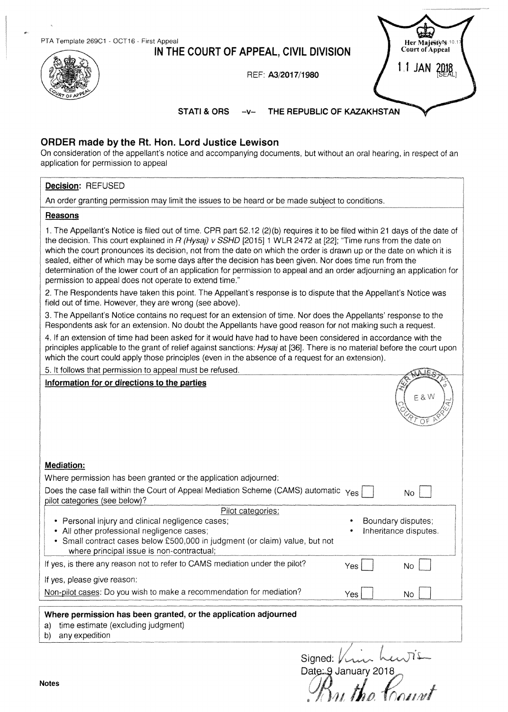**IN THE COURT OF APPEAL, CIVIL DIVISION** 

REF: **AJ/2017/1980** 



**STATI & ORS -v-**THE REPUBLIC OF KAZAKHSTAN

## **ORDER made by the Rt. Hon. Lord Justice Lewison**

On consideration of the appellant's notice and accompanying documents, but without an oral hearing, in respect of an application for permission to appeal

### **Decision:** REFUSED

An order granting permission may limit the issues to be heard or be made subject to conditions.

#### **Reasons**

1. The Appellant's Notice is filed out of time. CPR part 52.12 (2)(b) requires it to be filed within 21 days of the date of the decision. This court explained in R (Hysaj) v SSHD [2015] 1 WLR 2472 at [22]; "Time runs from the date on which the court pronounces its decision, not from the date on which the order is drawn up or the date on which it is sealed, either of which may be some days after the decision has been given. Nor does time run from the determination of the lower court of an application for permission to appeal and an order adjourning an application for permission to appeal does not operate to extend time."

2. The Respondents have taken this point. The Appellant's response is to dispute that the Appellant's Notice was field out of time. However, they are wrong (see above).

3. The Appellant's Notice contains no request for an extension of time. Nor does the Appellants' response to the Respondents ask for an extension. No doubt the Appellants have good reason for not making such a request.

4. If an extension of time had been asked for it would have had to have been considered in accordance with the principles applicable to the grant of relief against sanctions: Hysaj at [36]. There is no material before the court upon which the court could apply those principles (even in the absence of a request for an extension).

| 5. It follows that permission to appeal must be refused.                                                                                                                                                                   |            |                                             |
|----------------------------------------------------------------------------------------------------------------------------------------------------------------------------------------------------------------------------|------------|---------------------------------------------|
| Information for or directions to the parties                                                                                                                                                                               |            | E 8 W                                       |
| <b>Mediation:</b>                                                                                                                                                                                                          |            |                                             |
| Where permission has been granted or the application adjourned:                                                                                                                                                            |            |                                             |
| Does the case fall within the Court of Appeal Mediation Scheme (CAMS) automatic Yes<br>pilot categories (see below)?                                                                                                       |            | N <sub>o</sub>                              |
| Pilot categories:                                                                                                                                                                                                          |            |                                             |
| • Personal injury and clinical negligence cases;<br>• All other professional negligence cases;<br>• Small contract cases below £500,000 in judgment (or claim) value, but not<br>where principal issue is non-contractual; |            | Boundary disputes;<br>Inheritance disputes. |
| If yes, is there any reason not to refer to CAMS mediation under the pilot?                                                                                                                                                | Yes        | <b>No</b>                                   |
| If yes, please give reason:                                                                                                                                                                                                |            |                                             |
| Non-pilot cases: Do you wish to make a recommendation for mediation?                                                                                                                                                       | <b>Yes</b> | No                                          |
| Where permission has been granted, or the application adjourned                                                                                                                                                            |            |                                             |
| time estimate (excluding judgment)<br>a)<br>any expedition<br>b)                                                                                                                                                           |            |                                             |
| Signed                                                                                                                                                                                                                     |            |                                             |

Date: 9 January 2018 Notes  $\mathscr{B}_{\mathcal{U}}$  the  $\mathscr{B}_{\mathcal{U}}$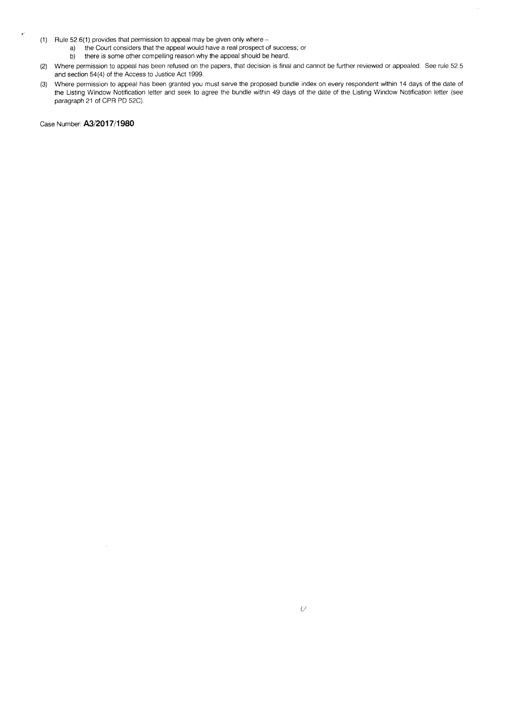- (1) Rule 52.6(1) provides that permission to appeal may be given only where
	- a) the Court considers that the appeal would have a real prospect of success; or b) there is some other compelling reason why the appeal should be heard.
	- there is some other compelling reason why the appeal should be heard.
- (2) Where permission to appeal has been refused on the papers, that decision is final and cannot be further reviewed or appealed. See rule 52.5 and section 54(4) of the Access to Justice Act 1999.
- (3) Where permission to appeal has been granted you must serve the proposed bundle index on every respondent within 14 days of the date of the Listing Window Notification letter and seek lo agree the bundle within 49 days of the date of the Listing Window Notification letter (see paragraph 21 of CPR PD 52C).

Case Number: **A3/2017/1980**